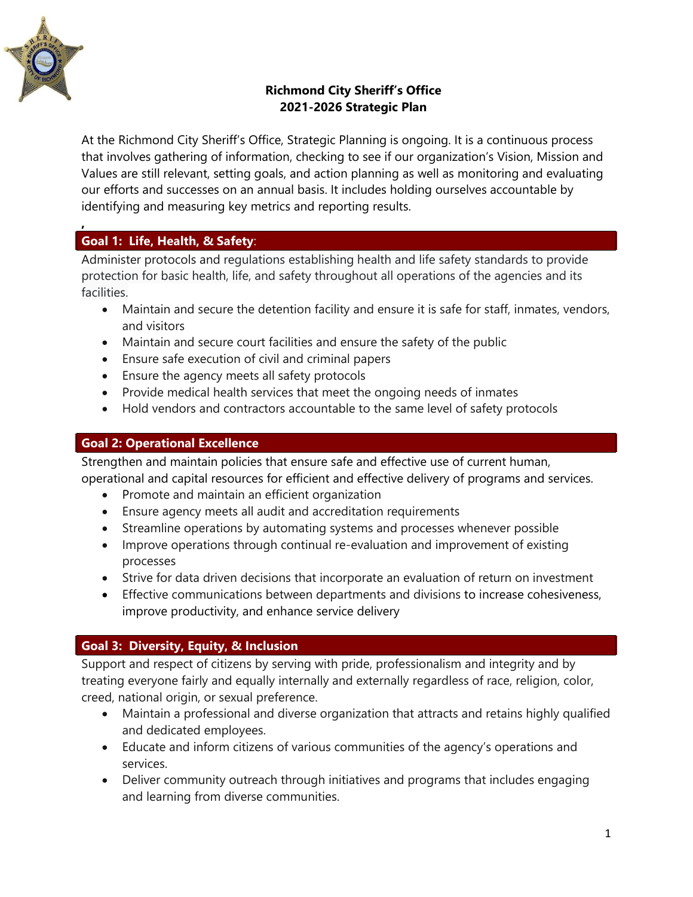

**,** 

## **Richmond City Sheriff's Office 2021-2026 Strategic Plan**

At the Richmond City Sheriff's Office, Strategic Planning is ongoing. It is a continuous process that involves gathering of information, checking to see if our organization's Vision, Mission and Values are still relevant, setting goals, and action planning as well as monitoring and evaluating our efforts and successes on an annual basis. It includes holding ourselves accountable by identifying and measuring key metrics and reporting results.

# **Goal 1: Life, Health, & Safety**:

Administer protocols and regulations establishing health and life safety standards to provide protection for basic health, life, and safety throughout all operations of the agencies and its facilities.

- Maintain and secure the detention facility and ensure it is safe for staff, inmates, vendors, and visitors
- Maintain and secure court facilities and ensure the safety of the public
- Ensure safe execution of civil and criminal papers
- Ensure the agency meets all safety protocols
- Provide medical health services that meet the ongoing needs of inmates
- Hold vendors and contractors accountable to the same level of safety protocols

### **Goal 2: Operational Excellence**

Strengthen and maintain policies that ensure safe and effective use of current human, operational and capital resources for efficient and effective delivery of programs and services.

- Promote and maintain an efficient organization
- Ensure agency meets all audit and accreditation requirements
- Streamline operations by automating systems and processes whenever possible
- Improve operations through continual re-evaluation and improvement of existing processes
- Strive for data driven decisions that incorporate an evaluation of return on investment
- Effective communications between departments and divisions to increase cohesiveness, improve productivity, and enhance service delivery

## **Goal 3: Diversity, Equity, & Inclusion**

Support and respect of citizens by serving with pride, professionalism and integrity and by treating everyone fairly and equally internally and externally regardless of race, religion, color, creed, national origin, or sexual preference.

- Maintain a professional and diverse organization that attracts and retains highly qualified and dedicated employees.
- Educate and inform citizens of various communities of the agency's operations and services.
- Deliver community outreach through initiatives and programs that includes engaging and learning from diverse communities.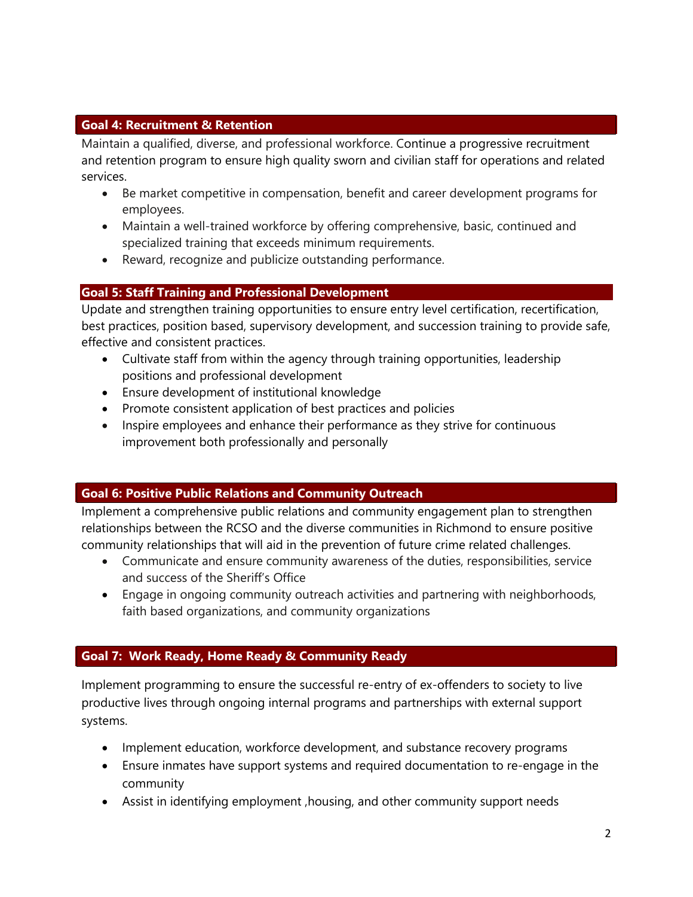#### **Goal 4: Recruitment & Retention**

Maintain a qualified, diverse, and professional workforce. Continue a progressive recruitment and retention program to ensure high quality sworn and civilian staff for operations and related services.

- Be market competitive in compensation, benefit and career development programs for employees.
- Maintain a well-trained workforce by offering comprehensive, basic, continued and specialized training that exceeds minimum requirements.
- Reward, recognize and publicize outstanding performance.

## **Goal 5: Staff Training and Professional Development**

Update and strengthen training opportunities to ensure entry level certification, recertification, best practices, position based, supervisory development, and succession training to provide safe, effective and consistent practices.

- Cultivate staff from within the agency through training opportunities, leadership positions and professional development
- Ensure development of institutional knowledge
- Promote consistent application of best practices and policies
- Inspire employees and enhance their performance as they strive for continuous improvement both professionally and personally

#### **Goal 6: Positive Public Relations and Community Outreach**

Implement a comprehensive public relations and community engagement plan to strengthen relationships between the RCSO and the diverse communities in Richmond to ensure positive community relationships that will aid in the prevention of future crime related challenges.

- Communicate and ensure community awareness of the duties, responsibilities, service and success of the Sheriff's Office
- Engage in ongoing community outreach activities and partnering with neighborhoods, faith based organizations, and community organizations

## **Goal 7: Work Ready, Home Ready & Community Ready**

Implement programming to ensure the successful re-entry of ex-offenders to society to live productive lives through ongoing internal programs and partnerships with external support systems.

- Implement education, workforce development, and substance recovery programs
- Ensure inmates have support systems and required documentation to re-engage in the community
- Assist in identifying employment ,housing, and other community support needs